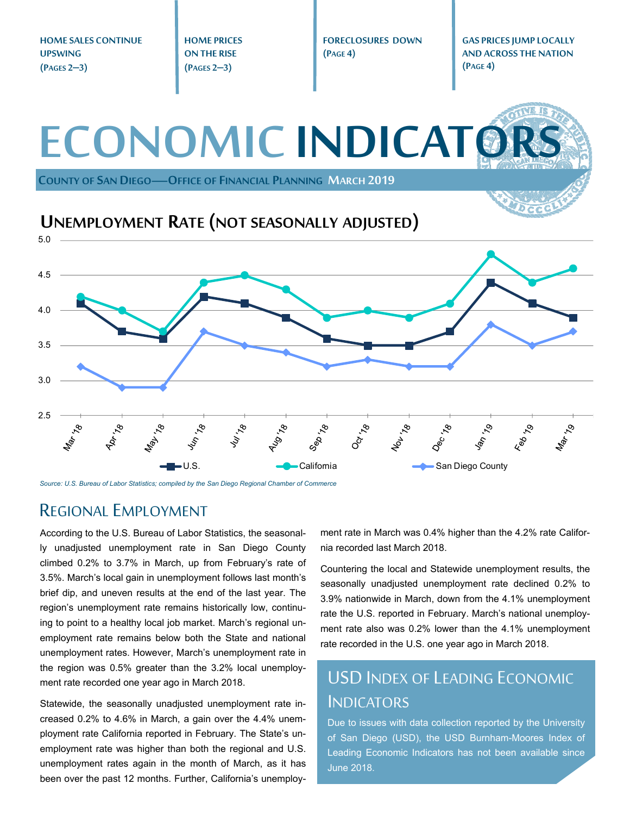**HOME SALES CONTINUE HOME PRICES FORECLOSURES DOWN GAS PRICES JUMP LOCALLY UPSWING ON THE RISE (PAGE 4) AND ACROSS THE NATION (PAGE 4) (PAGES 2–3) (PAGES 2–3) ECONOMIC INDICATO COUNTY OF SAN DIEGO—OFFICE OF FINANCIAL PLANNING MARCH 2019 UNEMPLOYMENT RATE (NOT SEASONALLY ADJUSTED)** 5.0 4.5 4.0 3.5 3.0 2.5  $40^{17}$ 1601-78 18  $x^2$  $x^{\circ}$  $\mathcal{S}$  $\mathcal{S}'$  $\mathcal{S}_{\mathcal{A}}$  $\mathcal{S}'$  $\mathcal{S}_{\mathcal{L}}$ **May.** Sep.,  $O_{\tilde{G}^{\star},\star}$ Feb 1 Mar.,  $\overline{\mathcal{S}}$ U.S. **California** California San Diego County

*Source: U.S. Bureau of Labor Statistics; compiled by the San Diego Regional Chamber of Commerce* 

#### REGIONAL EMPLOYMENT

According to the U.S. Bureau of Labor Statistics, the seasonally unadjusted unemployment rate in San Diego County climbed 0.2% to 3.7% in March, up from February's rate of 3.5%. March's local gain in unemployment follows last month's brief dip, and uneven results at the end of the last year. The region's unemployment rate remains historically low, continuing to point to a healthy local job market. March's regional unemployment rate remains below both the State and national unemployment rates. However, March's unemployment rate in the region was 0.5% greater than the 3.2% local unemployment rate recorded one year ago in March 2018.

Statewide, the seasonally unadjusted unemployment rate increased 0.2% to 4.6% in March, a gain over the 4.4% unemployment rate California reported in February. The State's unemployment rate was higher than both the regional and U.S. unemployment rates again in the month of March, as it has been over the past 12 months. Further, California's unemployment rate in March was 0.4% higher than the 4.2% rate California recorded last March 2018.

Countering the local and Statewide unemployment results, the seasonally unadjusted unemployment rate declined 0.2% to 3.9% nationwide in March, down from the 4.1% unemployment rate the U.S. reported in February. March's national unemployment rate also was 0.2% lower than the 4.1% unemployment rate recorded in the U.S. one year ago in March 2018.

### USD INDEX OF LEADING ECONOMIC INDICATORS

Due to issues with data collection reported by the University of San Diego (USD), the USD Burnham-Moores Index of Leading Economic Indicators has not been available since June 2018.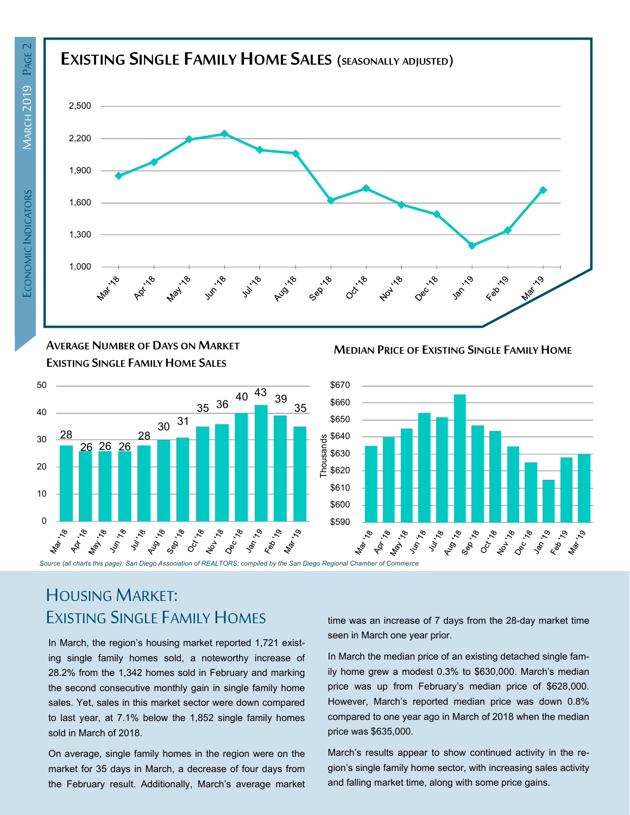

**AVERAGE NUMBER OF DAYS ON MARKET EXISTING SINGLE FAMILY HOME SALES**



**MEDIAN PRICE OF EXISTING SINGLE FAMILY HOME**



### HOUSING MARKET: EXISTING SINGLE FAMILY HOMES

In March, the region's housing market reported 1,721 existing single family homes sold, a noteworthy increase of 28.2% from the 1,342 homes sold in February and marking the second consecutive monthly gain in single family home sales. Yet, sales in this market sector were down compared to last year, at 7.1% below the 1,852 single family homes sold in March of 2018.

On average, single family homes in the region were on the market for 35 days in March, a decrease of four days from the February result. Additionally, March's average market time was an increase of 7 days from the 28-day market time seen in March one year prior.

In March the median price of an existing detached single family home grew a modest 0.3% to \$630,000. March's median price was up from February's median price of \$628,000. However, March's reported median price was down 0.8% compared to one year ago in March of 2018 when the median price was \$635,000.

March's results appear to show continued activity in the region's single family home sector, with increasing sales activity and falling market time, along with some price gains.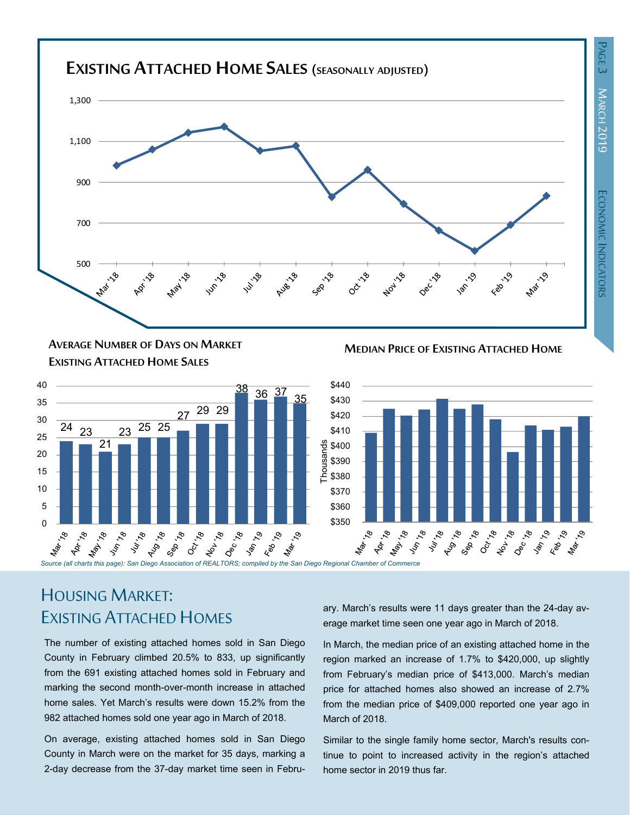

**MEDIAN PRICE OF EXISTING ATTACHED HOME AVERAGE NUMBER OF DAYS ON MARKET EXISTING ATTACHED HOME SALES**



## HOUSING MARKET: EXISTING ATTACHED HOMES

The number of existing attached homes sold in San Diego County in February climbed 20.5% to 833, up significantly from the 691 existing attached homes sold in February and marking the second month-over-month increase in attached home sales. Yet March's results were down 15.2% from the 982 attached homes sold one year ago in March of 2018.

On average, existing attached homes sold in San Diego County in March were on the market for 35 days, marking a 2-day decrease from the 37-day market time seen in February. March's results were 11 days greater than the 24-day average market time seen one year ago in March of 2018.

In March, the median price of an existing attached home in the region marked an increase of 1.7% to \$420,000, up slightly from February's median price of \$413,000. March's median price for attached homes also showed an increase of 2.7% from the median price of \$409,000 reported one year ago in March of 2018.

Similar to the single family home sector, March's results continue to point to increased activity in the region's attached home sector in 2019 thus far.